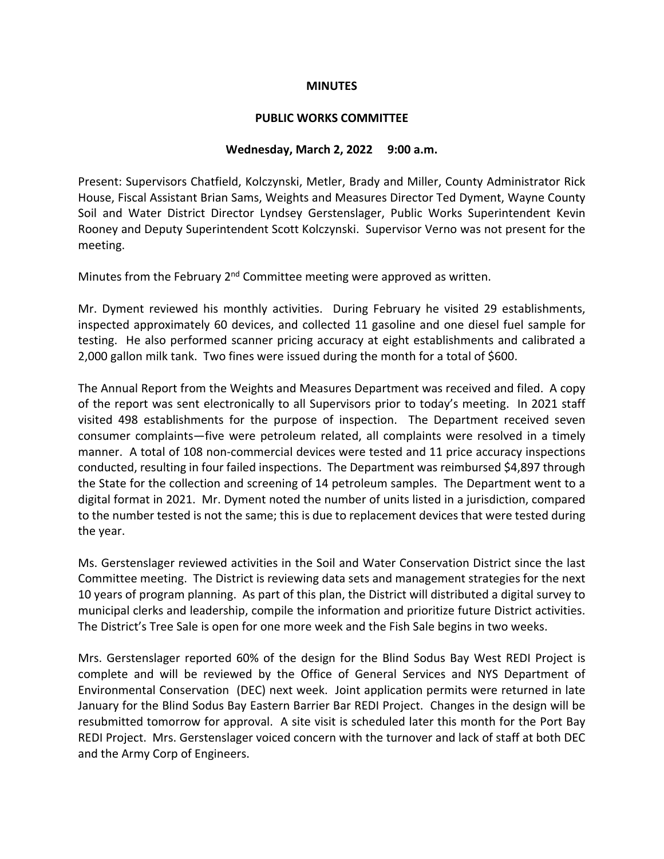#### **MINUTES**

## **PUBLIC WORKS COMMITTEE**

## **Wednesday, March 2, 2022 9:00 a.m.**

Present: Supervisors Chatfield, Kolczynski, Metler, Brady and Miller, County Administrator Rick House, Fiscal Assistant Brian Sams, Weights and Measures Director Ted Dyment, Wayne County Soil and Water District Director Lyndsey Gerstenslager, Public Works Superintendent Kevin Rooney and Deputy Superintendent Scott Kolczynski. Supervisor Verno was not present for the meeting.

Minutes from the February  $2<sup>nd</sup>$  Committee meeting were approved as written.

Mr. Dyment reviewed his monthly activities. During February he visited 29 establishments, inspected approximately 60 devices, and collected 11 gasoline and one diesel fuel sample for testing. He also performed scanner pricing accuracy at eight establishments and calibrated a 2,000 gallon milk tank. Two fines were issued during the month for a total of \$600.

The Annual Report from the Weights and Measures Department was received and filed. A copy of the report was sent electronically to all Supervisors prior to today's meeting. In 2021 staff visited 498 establishments for the purpose of inspection. The Department received seven consumer complaints—five were petroleum related, all complaints were resolved in a timely manner. A total of 108 non-commercial devices were tested and 11 price accuracy inspections conducted, resulting in four failed inspections. The Department was reimbursed \$4,897 through the State for the collection and screening of 14 petroleum samples. The Department went to a digital format in 2021. Mr. Dyment noted the number of units listed in a jurisdiction, compared to the number tested is not the same; this is due to replacement devices that were tested during the year.

Ms. Gerstenslager reviewed activities in the Soil and Water Conservation District since the last Committee meeting. The District is reviewing data sets and management strategies for the next 10 years of program planning. As part of this plan, the District will distributed a digital survey to municipal clerks and leadership, compile the information and prioritize future District activities. The District's Tree Sale is open for one more week and the Fish Sale begins in two weeks.

Mrs. Gerstenslager reported 60% of the design for the Blind Sodus Bay West REDI Project is complete and will be reviewed by the Office of General Services and NYS Department of Environmental Conservation (DEC) next week. Joint application permits were returned in late January for the Blind Sodus Bay Eastern Barrier Bar REDI Project. Changes in the design will be resubmitted tomorrow for approval. A site visit is scheduled later this month for the Port Bay REDI Project. Mrs. Gerstenslager voiced concern with the turnover and lack of staff at both DEC and the Army Corp of Engineers.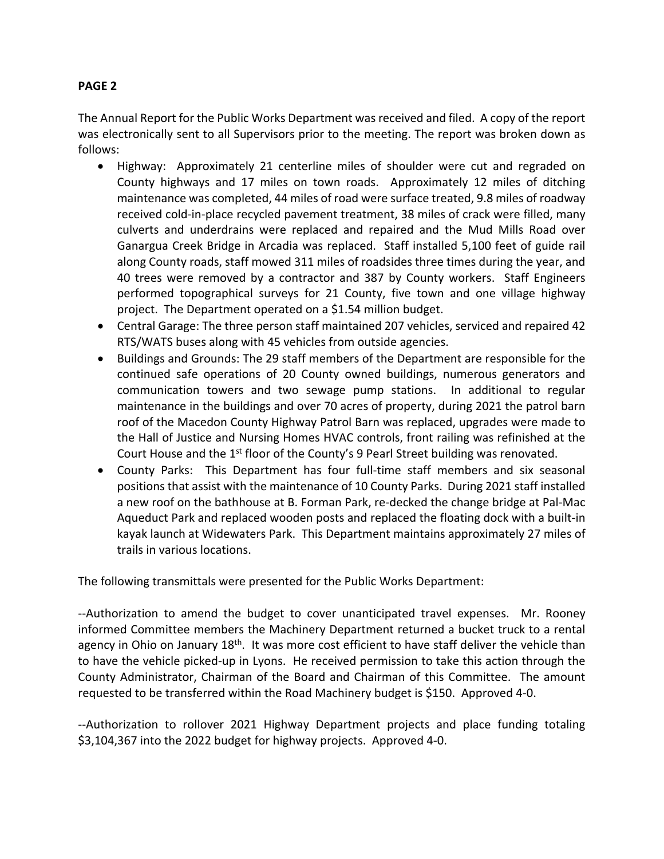# **PAGE 2**

The Annual Report for the Public Works Department was received and filed. A copy of the report was electronically sent to all Supervisors prior to the meeting. The report was broken down as follows:

- Highway: Approximately 21 centerline miles of shoulder were cut and regraded on County highways and 17 miles on town roads. Approximately 12 miles of ditching maintenance was completed, 44 miles of road were surface treated, 9.8 miles of roadway received cold-in-place recycled pavement treatment, 38 miles of crack were filled, many culverts and underdrains were replaced and repaired and the Mud Mills Road over Ganargua Creek Bridge in Arcadia was replaced. Staff installed 5,100 feet of guide rail along County roads, staff mowed 311 miles of roadsides three times during the year, and 40 trees were removed by a contractor and 387 by County workers. Staff Engineers performed topographical surveys for 21 County, five town and one village highway project. The Department operated on a \$1.54 million budget.
- Central Garage: The three person staff maintained 207 vehicles, serviced and repaired 42 RTS/WATS buses along with 45 vehicles from outside agencies.
- Buildings and Grounds: The 29 staff members of the Department are responsible for the continued safe operations of 20 County owned buildings, numerous generators and communication towers and two sewage pump stations. In additional to regular maintenance in the buildings and over 70 acres of property, during 2021 the patrol barn roof of the Macedon County Highway Patrol Barn was replaced, upgrades were made to the Hall of Justice and Nursing Homes HVAC controls, front railing was refinished at the Court House and the 1<sup>st</sup> floor of the County's 9 Pearl Street building was renovated.
- County Parks: This Department has four full-time staff members and six seasonal positions that assist with the maintenance of 10 County Parks. During 2021 staff installed a new roof on the bathhouse at B. Forman Park, re-decked the change bridge at Pal-Mac Aqueduct Park and replaced wooden posts and replaced the floating dock with a built-in kayak launch at Widewaters Park. This Department maintains approximately 27 miles of trails in various locations.

The following transmittals were presented for the Public Works Department:

--Authorization to amend the budget to cover unanticipated travel expenses. Mr. Rooney informed Committee members the Machinery Department returned a bucket truck to a rental agency in Ohio on January 18<sup>th</sup>. It was more cost efficient to have staff deliver the vehicle than to have the vehicle picked-up in Lyons. He received permission to take this action through the County Administrator, Chairman of the Board and Chairman of this Committee. The amount requested to be transferred within the Road Machinery budget is \$150. Approved 4-0.

--Authorization to rollover 2021 Highway Department projects and place funding totaling \$3,104,367 into the 2022 budget for highway projects. Approved 4-0.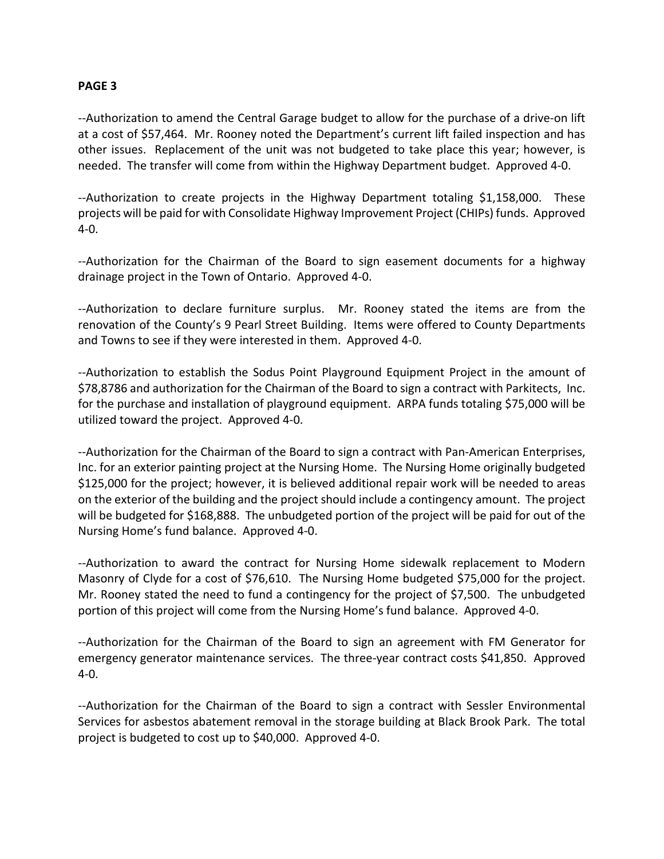### **PAGE 3**

--Authorization to amend the Central Garage budget to allow for the purchase of a drive-on lift at a cost of \$57,464. Mr. Rooney noted the Department's current lift failed inspection and has other issues. Replacement of the unit was not budgeted to take place this year; however, is needed. The transfer will come from within the Highway Department budget. Approved 4-0.

--Authorization to create projects in the Highway Department totaling \$1,158,000. These projects will be paid for with Consolidate Highway Improvement Project (CHIPs) funds. Approved 4-0.

--Authorization for the Chairman of the Board to sign easement documents for a highway drainage project in the Town of Ontario. Approved 4-0.

--Authorization to declare furniture surplus. Mr. Rooney stated the items are from the renovation of the County's 9 Pearl Street Building. Items were offered to County Departments and Towns to see if they were interested in them. Approved 4-0.

--Authorization to establish the Sodus Point Playground Equipment Project in the amount of \$78,8786 and authorization for the Chairman of the Board to sign a contract with Parkitects, Inc. for the purchase and installation of playground equipment. ARPA funds totaling \$75,000 will be utilized toward the project. Approved 4-0.

--Authorization for the Chairman of the Board to sign a contract with Pan-American Enterprises, Inc. for an exterior painting project at the Nursing Home. The Nursing Home originally budgeted \$125,000 for the project; however, it is believed additional repair work will be needed to areas on the exterior of the building and the project should include a contingency amount. The project will be budgeted for \$168,888. The unbudgeted portion of the project will be paid for out of the Nursing Home's fund balance. Approved 4-0.

--Authorization to award the contract for Nursing Home sidewalk replacement to Modern Masonry of Clyde for a cost of \$76,610. The Nursing Home budgeted \$75,000 for the project. Mr. Rooney stated the need to fund a contingency for the project of \$7,500. The unbudgeted portion of this project will come from the Nursing Home's fund balance. Approved 4-0.

--Authorization for the Chairman of the Board to sign an agreement with FM Generator for emergency generator maintenance services. The three-year contract costs \$41,850. Approved 4-0.

--Authorization for the Chairman of the Board to sign a contract with Sessler Environmental Services for asbestos abatement removal in the storage building at Black Brook Park. The total project is budgeted to cost up to \$40,000. Approved 4-0.